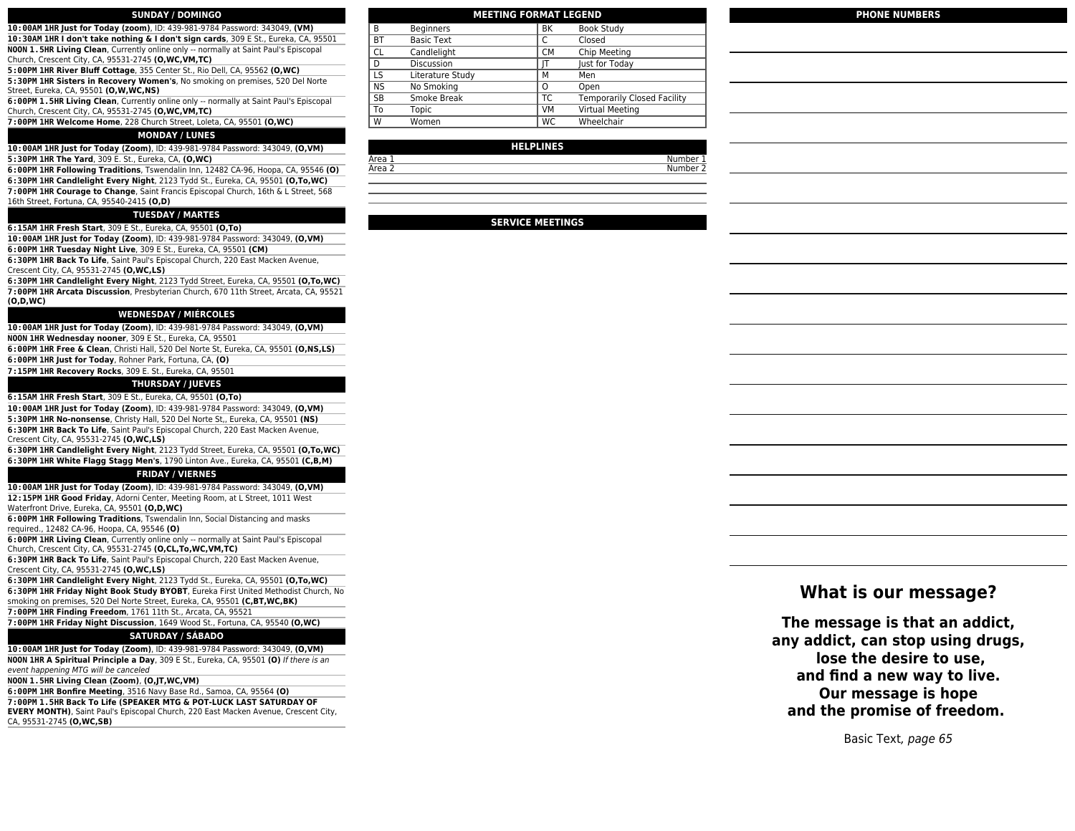## **SUNDAY / DOMINGO**

**10:00AM 1HR Just for Today (zoom)**, ID: 439-981-9784 Password: 343049, **(VM) 10:30AM 1HR I don't take nothing & I don't sign cards**, 309 E St., Eureka, CA, 95501 **NOON 1.5HR Living Clean**, Currently online only -- normally at Saint Paul's Episcopal

Church, Crescent City, CA, 95531-2745 **(O,WC,VM,TC) 5:00PM 1HR River Bluff Cottage**, 355 Center St., Rio Dell, CA, 95562 **(O,WC)**

**5:30PM 1HR Sisters in Recovery Women's**, No smoking on premises, 520 Del Norte Street, Eureka, CA, 95501 **(O,W,WC,NS)**

**6:00PM 1.5HR Living Clean**, Currently online only -- normally at Saint Paul's Episcopal Church, Crescent City, CA, 95531-2745 **(O,WC,VM,TC)**

**7:00PM 1HR Welcome Home**, 228 Church Street, Loleta, CA, 95501 **(O,WC)**

## **MONDAY / LUNES**

**10:00AM 1HR Just for Today (Zoom)**, ID: 439-981-9784 Password: 343049, **(O,VM) 5:30PM 1HR The Yard**, 309 E. St., Eureka, CA, **(O,WC)**

**6:00PM 1HR Following Traditions**, Tswendalin Inn, 12482 CA-96, Hoopa, CA, 95546 **(O)**

**6:30PM 1HR Candlelight Every Night**, 2123 Tydd St., Eureka, CA, 95501 **(O,To,WC)**

**7:00PM 1HR Courage to Change**, Saint Francis Episcopal Church, 16th & L Street, 568 16th Street, Fortuna, CA, 95540-2415 **(O,D)**

## **TUESDAY / MARTES**

**6:15AM 1HR Fresh Start**, 309 E St., Eureka, CA, 95501 **(O,To)**

**10:00AM 1HR Just for Today (Zoom)**, ID: 439-981-9784 Password: 343049, **(O,VM)**

**6:00PM 1HR Tuesday Night Live**, 309 E St., Eureka, CA, 95501 **(CM)**

**6:30PM 1HR Back To Life**, Saint Paul's Episcopal Church, 220 East Macken Avenue, Crescent City, CA, 95531-2745 **(O,WC,LS)**

**6:30PM 1HR Candlelight Every Night**, 2123 Tydd Street, Eureka, CA, 95501 **(O,To,WC) 7:00PM 1HR Arcata Discussion**, Presbyterian Church, 670 11th Street, Arcata, CA, 95521 **(O,D,WC)**

## **WEDNESDAY / MIÉRCOLES**

**10:00AM 1HR Just for Today (Zoom)**, ID: 439-981-9784 Password: 343049, **(O,VM)**

**NOON 1HR Wednesday nooner**, 309 E St., Eureka, CA, 95501

**6:00PM 1HR Free & Clean**, Christi Hall, 520 Del Norte St, Eureka, CA, 95501 **(O,NS,LS)**

**6:00PM 1HR Just for Today**, Rohner Park, Fortuna, CA, **(O)**

**7:15PM 1HR Recovery Rocks**, 309 E. St., Eureka, CA, 95501

## **THURSDAY / JUEVES**

**6:15AM 1HR Fresh Start**, 309 E St., Eureka, CA, 95501 **(O,To)**

**10:00AM 1HR Just for Today (Zoom)**, ID: 439-981-9784 Password: 343049, **(O,VM) 5:30PM 1HR No-nonsense**, Christy Hall, 520 Del Norte St,, Eureka, CA, 95501 **(NS) 6:30PM 1HR Back To Life**, Saint Paul's Episcopal Church, 220 East Macken Avenue, Crescent City, CA, 95531-2745 **(O,WC,LS)**

**6:30PM 1HR Candlelight Every Night**, 2123 Tydd Street, Eureka, CA, 95501 **(O,To,WC) 6:30PM 1HR White Flagg Stagg Men's**, 1790 Linton Ave., Eureka, CA, 95501 **(C,B,M)**

## **FRIDAY / VIERNES**

**10:00AM 1HR Just for Today (Zoom)**, ID: 439-981-9784 Password: 343049, **(O,VM) 12:15PM 1HR Good Friday**, Adorni Center, Meeting Room, at L Street, 1011 West Waterfront Drive, Eureka, CA, 95501 **(O,D,WC)**

**6:00PM 1HR Following Traditions**, Tswendalin Inn, Social Distancing and masks required., 12482 CA-96, Hoopa, CA, 95546 **(O)**

**6:00PM 1HR Living Clean**, Currently online only -- normally at Saint Paul's Episcopal Church, Crescent City, CA, 95531-2745 **(O,CL,To,WC,VM,TC)**

**6:30PM 1HR Back To Life**, Saint Paul's Episcopal Church, 220 East Macken Avenue, Crescent City, CA, 95531-2745 **(O,WC,LS)**

**6:30PM 1HR Candlelight Every Night**, 2123 Tydd St., Eureka, CA, 95501 **(O,To,WC) 6:30PM 1HR Friday Night Book Study BYOBT**, Eureka First United Methodist Church, No smoking on premises, 520 Del Norte Street, Eureka, CA, 95501 **(C,BT,WC,BK)**

**7:00PM 1HR Finding Freedom**, 1761 11th St., Arcata, CA, 95521

**7:00PM 1HR Friday Night Discussion**, 1649 Wood St., Fortuna, CA, 95540 **(O,WC)**

## **SATURDAY / SÁBADO**

**10:00AM 1HR Just for Today (Zoom)**, ID: 439-981-9784 Password: 343049, **(O,VM) NOON 1HR A Spiritual Principle a Day**, 309 E St., Eureka, CA, 95501 **(O)** If there is an event happening MTG will be canceled

**NOON 1.5HR Living Clean (Zoom)**, **(O,JT,WC,VM)**

**6:00PM 1HR Bonfire Meeting**, 3516 Navy Base Rd., Samoa, CA, 95564 **(O) 7:00PM 1.5HR Back To Life (SPEAKER MTG & POT-LUCK LAST SATURDAY OF**

**EVERY MONTH)**, Saint Paul's Episcopal Church, 220 East Macken Avenue, Crescent City, CA, 95531-2745 **(O,WC,SB)**

| B         | <b>Beginners</b>  | <b>BK</b> | <b>Book Study</b>                  |
|-----------|-------------------|-----------|------------------------------------|
| BT        | <b>Basic Text</b> | C         | Closed                             |
| CL        | Candlelight       | <b>CM</b> | Chip Meeting                       |
| D         | <b>Discussion</b> | IT        | Just for Today                     |
| LS        | Literature Study  | М         | Men                                |
| <b>NS</b> | No Smoking        | O         | Open                               |
| SB        | Smoke Break       | ТC        | <b>Temporarily Closed Facility</b> |
| To        | Topic             | <b>VM</b> | Virtual Meeting                    |
| W         | Women             | WC        | Wheelchair                         |
|           |                   |           |                                    |

**MEETING FORMAT LEGEND**

### **HELPLINES**

Area 1 Number 1

## **SERVICE MEETINGS**

**PHONE NUMBERS**

## **What is our message?**

**The message is that an addict, any addict, can stop using drugs, lose the desire to use, and find a new way to live. Our message is hope and the promise of freedom.** 

Basic Text, page 65

# Area 2 Number 2